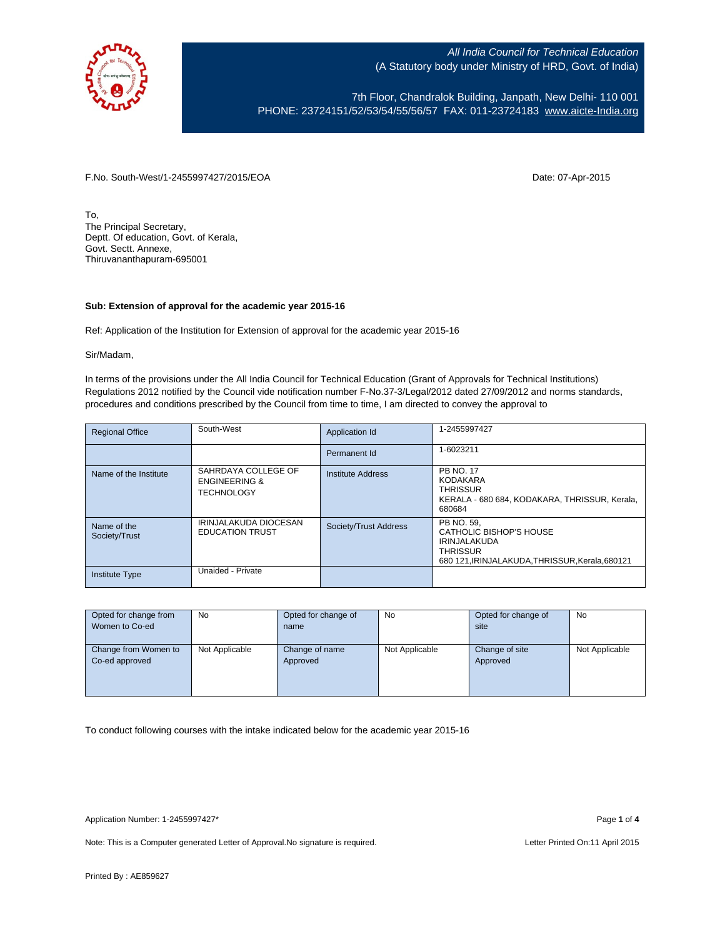

7th Floor, Chandralok Building, Janpath, New Delhi- 110 001 PHONE: 23724151/52/53/54/55/56/57 FAX: 011-23724183 [www.aicte-India.org](http://www.aicte-india.org/)

F.No. South-West/1-2455997427/2015/EOA Date: 07-Apr-2015

To, The Principal Secretary, Deptt. Of education, Govt. of Kerala, Govt. Sectt. Annexe, Thiruvananthapuram-695001

## **Sub: Extension of approval for the academic year 2015-16**

Ref: Application of the Institution for Extension of approval for the academic year 2015-16

Sir/Madam,

In terms of the provisions under the All India Council for Technical Education (Grant of Approvals for Technical Institutions) Regulations 2012 notified by the Council vide notification number F-No.37-3/Legal/2012 dated 27/09/2012 and norms standards, procedures and conditions prescribed by the Council from time to time, I am directed to convey the approval to

| <b>Regional Office</b>       | South-West                                                           | Application Id        | 1-2455997427                                                                                                                       |
|------------------------------|----------------------------------------------------------------------|-----------------------|------------------------------------------------------------------------------------------------------------------------------------|
|                              |                                                                      | Permanent Id          | 1-6023211                                                                                                                          |
| Name of the Institute        | SAHRDAYA COLLEGE OF<br><b>ENGINEERING &amp;</b><br><b>TECHNOLOGY</b> | Institute Address     | <b>PB NO. 17</b><br><b>KODAKARA</b><br><b>THRISSUR</b><br>KERALA - 680 684, KODAKARA, THRISSUR, Kerala,<br>680684                  |
| Name of the<br>Society/Trust | IRINJALAKUDA DIOCESAN<br><b>EDUCATION TRUST</b>                      | Society/Trust Address | PB NO. 59.<br>CATHOLIC BISHOP'S HOUSE<br><b>IRINJALAKUDA</b><br><b>THRISSUR</b><br>680 121. IRINJALAKUDA. THRISSUR. Kerala. 680121 |
| <b>Institute Type</b>        | Unaided - Private                                                    |                       |                                                                                                                                    |

| Opted for change from<br>Women to Co-ed | No             | Opted for change of<br>name | <b>No</b>      | Opted for change of<br>site | No             |
|-----------------------------------------|----------------|-----------------------------|----------------|-----------------------------|----------------|
| Change from Women to<br>Co-ed approved  | Not Applicable | Change of name<br>Approved  | Not Applicable | Change of site<br>Approved  | Not Applicable |

To conduct following courses with the intake indicated below for the academic year 2015-16

Application Number: 1-2455997427\* Page **1** of **4**

Note: This is a Computer generated Letter of Approval. No signature is required. Letter Printed On:11 April 2015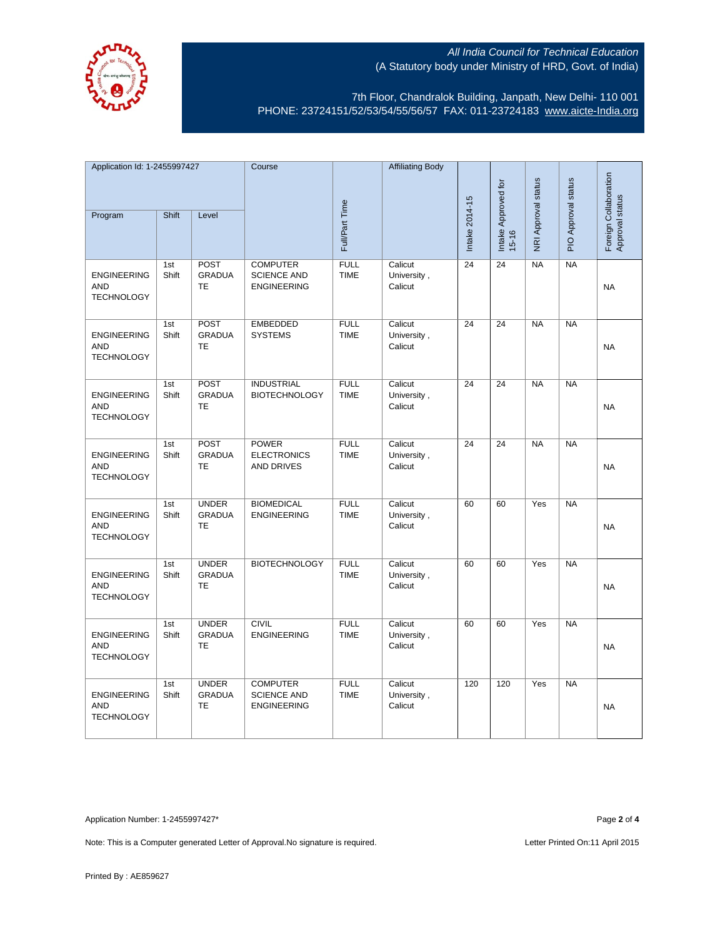

7th Floor, Chandralok Building, Janpath, New Delhi- 110 001 PHONE: 23724151/52/53/54/55/56/57 FAX: 011-23724183 [www.aicte-India.org](http://www.aicte-india.org/)

| Application Id: 1-2455997427                          |              | Course                                     |                                                             | <b>Affiliating Body</b>    |                                   |                     |                     |                     |                                          |           |
|-------------------------------------------------------|--------------|--------------------------------------------|-------------------------------------------------------------|----------------------------|-----------------------------------|---------------------|---------------------|---------------------|------------------------------------------|-----------|
| Shift<br>Level<br>Program                             |              |                                            |                                                             |                            |                                   | Intake Approved for | NRI Approval status | PIO Approval status | Foreign Collaboration<br>Approval status |           |
|                                                       |              |                                            |                                                             | Full/Part Time             |                                   | Intake 2014-15      | $15 - 16$           |                     |                                          |           |
| <b>ENGINEERING</b><br><b>AND</b><br><b>TECHNOLOGY</b> | 1st<br>Shift | POST<br><b>GRADUA</b><br><b>TE</b>         | <b>COMPUTER</b><br><b>SCIENCE AND</b><br><b>ENGINEERING</b> | <b>FULL</b><br><b>TIME</b> | Calicut<br>University,<br>Calicut | 24                  | 24                  | <b>NA</b>           | <b>NA</b>                                | <b>NA</b> |
| <b>ENGINEERING</b><br><b>AND</b><br><b>TECHNOLOGY</b> | 1st<br>Shift | <b>POST</b><br><b>GRADUA</b><br>TE         | <b>EMBEDDED</b><br><b>SYSTEMS</b>                           | <b>FULL</b><br><b>TIME</b> | Calicut<br>University,<br>Calicut | 24                  | 24                  | <b>NA</b>           | <b>NA</b>                                | <b>NA</b> |
| <b>ENGINEERING</b><br><b>AND</b><br><b>TECHNOLOGY</b> | 1st<br>Shift | POST<br><b>GRADUA</b><br>TE                | <b>INDUSTRIAL</b><br><b>BIOTECHNOLOGY</b>                   | <b>FULL</b><br><b>TIME</b> | Calicut<br>University,<br>Calicut | $\overline{24}$     | $\overline{24}$     | NA                  | NA                                       | <b>NA</b> |
| <b>ENGINEERING</b><br><b>AND</b><br><b>TECHNOLOGY</b> | 1st<br>Shift | POST<br><b>GRADUA</b><br>TE                | <b>POWER</b><br><b>ELECTRONICS</b><br><b>AND DRIVES</b>     | <b>FULL</b><br><b>TIME</b> | Calicut<br>University,<br>Calicut | $\overline{24}$     | $\overline{24}$     | NA                  | NA                                       | <b>NA</b> |
| <b>ENGINEERING</b><br><b>AND</b><br><b>TECHNOLOGY</b> | 1st<br>Shift | <b>UNDER</b><br><b>GRADUA</b><br><b>TE</b> | <b>BIOMEDICAL</b><br><b>ENGINEERING</b>                     | <b>FULL</b><br><b>TIME</b> | Calicut<br>University,<br>Calicut | 60                  | 60                  | Yes                 | <b>NA</b>                                | <b>NA</b> |
| <b>ENGINEERING</b><br><b>AND</b><br><b>TECHNOLOGY</b> | 1st<br>Shift | <b>UNDER</b><br><b>GRADUA</b><br>TE        | <b>BIOTECHNOLOGY</b>                                        | <b>FULL</b><br><b>TIME</b> | Calicut<br>University,<br>Calicut | 60                  | 60                  | Yes                 | <b>NA</b>                                | <b>NA</b> |
| <b>ENGINEERING</b><br><b>AND</b><br><b>TECHNOLOGY</b> | 1st<br>Shift | <b>UNDER</b><br><b>GRADUA</b><br>TE        | <b>CIVIL</b><br><b>ENGINEERING</b>                          | <b>FULL</b><br><b>TIME</b> | Calicut<br>University,<br>Calicut | 60                  | 60                  | Yes                 | <b>NA</b>                                | <b>NA</b> |
| <b>ENGINEERING</b><br><b>AND</b><br><b>TECHNOLOGY</b> | 1st<br>Shift | <b>UNDER</b><br><b>GRADUA</b><br>TE        | <b>COMPUTER</b><br><b>SCIENCE AND</b><br><b>ENGINEERING</b> | <b>FULL</b><br><b>TIME</b> | Calicut<br>University,<br>Calicut | 120                 | 120                 | Yes                 | <b>NA</b>                                | <b>NA</b> |

Application Number: 1-2455997427\* Page **2** of **4**

Note: This is a Computer generated Letter of Approval. No signature is required. Letter Printed On:11 April 2015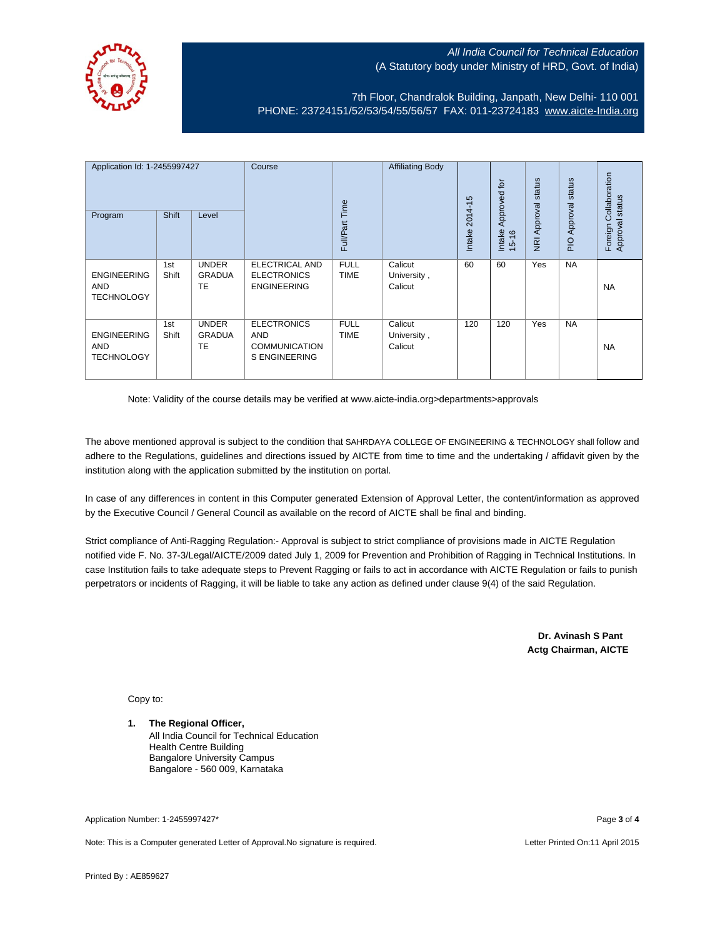

7th Floor, Chandralok Building, Janpath, New Delhi- 110 001 PHONE: 23724151/52/53/54/55/56/57 FAX: 011-23724183 [www.aicte-India.org](http://www.aicte-india.org/)

| Application Id: 1-2455997427<br>Program               | <b>Shift</b> | Level                                      | Course                                                                           | Full/Part Time             | <b>Affiliating Body</b>           | $2014 - 15$<br>Intake | Approved for<br>Intake<br>$15 - 16$ | status<br>Approval<br>$\overline{g}$ | status<br>Approval<br>$\frac{1}{2}$ | Collaboration<br>status<br>Approval s<br>Foreign |
|-------------------------------------------------------|--------------|--------------------------------------------|----------------------------------------------------------------------------------|----------------------------|-----------------------------------|-----------------------|-------------------------------------|--------------------------------------|-------------------------------------|--------------------------------------------------|
| <b>ENGINEERING</b><br>AND<br><b>TECHNOLOGY</b>        | 1st<br>Shift | <b>UNDER</b><br><b>GRADUA</b><br>TE        | <b>ELECTRICAL AND</b><br><b>ELECTRONICS</b><br><b>ENGINEERING</b>                | <b>FULL</b><br><b>TIME</b> | Calicut<br>University,<br>Calicut | 60                    | 60                                  | Yes                                  | <b>NA</b>                           | <b>NA</b>                                        |
| <b>ENGINEERING</b><br><b>AND</b><br><b>TECHNOLOGY</b> | 1st<br>Shift | <b>UNDER</b><br><b>GRADUA</b><br><b>TE</b> | <b>ELECTRONICS</b><br><b>AND</b><br><b>COMMUNICATION</b><br><b>S ENGINEERING</b> | <b>FULL</b><br><b>TIME</b> | Calicut<br>University,<br>Calicut | 120                   | 120                                 | Yes                                  | <b>NA</b>                           | <b>NA</b>                                        |

Note: Validity of the course details may be verified at www.aicte-india.org>departments>approvals

The above mentioned approval is subject to the condition that SAHRDAYA COLLEGE OF ENGINEERING & TECHNOLOGY shall follow and adhere to the Regulations, guidelines and directions issued by AICTE from time to time and the undertaking / affidavit given by the institution along with the application submitted by the institution on portal.

In case of any differences in content in this Computer generated Extension of Approval Letter, the content/information as approved by the Executive Council / General Council as available on the record of AICTE shall be final and binding.

Strict compliance of Anti-Ragging Regulation:- Approval is subject to strict compliance of provisions made in AICTE Regulation notified vide F. No. 37-3/Legal/AICTE/2009 dated July 1, 2009 for Prevention and Prohibition of Ragging in Technical Institutions. In case Institution fails to take adequate steps to Prevent Ragging or fails to act in accordance with AICTE Regulation or fails to punish perpetrators or incidents of Ragging, it will be liable to take any action as defined under clause 9(4) of the said Regulation.

> **Dr. Avinash S Pant Actg Chairman, AICTE**

Copy to:

**1. The Regional Officer,** All India Council for Technical Education Health Centre Building Bangalore University Campus Bangalore - 560 009, Karnataka

Application Number: 1-2455997427\* Page **3** of **4**

Note: This is a Computer generated Letter of Approval.No signature is required. Letter According the state of the Letter Printed On:11 April 2015